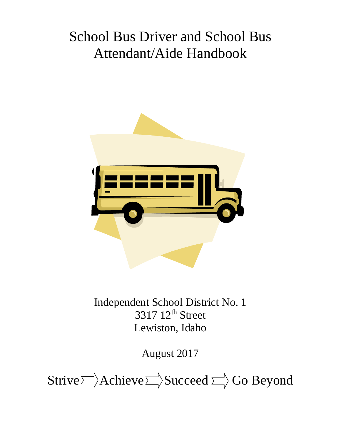# School Bus Driver and School Bus Attendant/Aide Handbook



Independent School District No. 1 3317 12<sup>th</sup> Street Lewiston, Idaho

August 2017

Strive  $\Rightarrow$  Achieve  $\Rightarrow$  Succeed  $\Rightarrow$  Go Beyond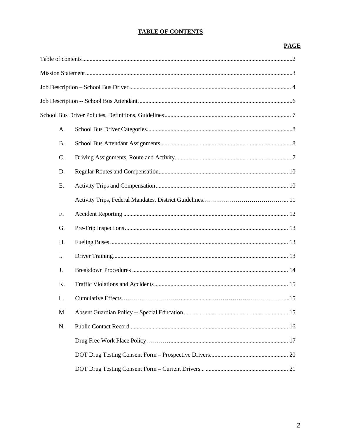# **TABLE OF CONTENTS**

# **PAGE**

|  | A.        |  |
|--|-----------|--|
|  | <b>B.</b> |  |
|  | C.        |  |
|  | D.        |  |
|  | E.        |  |
|  |           |  |
|  | F.        |  |
|  | G.        |  |
|  | H.        |  |
|  | I.        |  |
|  | J.        |  |
|  | Κ.        |  |
|  | L.        |  |
|  | M.        |  |
|  | N.        |  |
|  |           |  |
|  |           |  |
|  |           |  |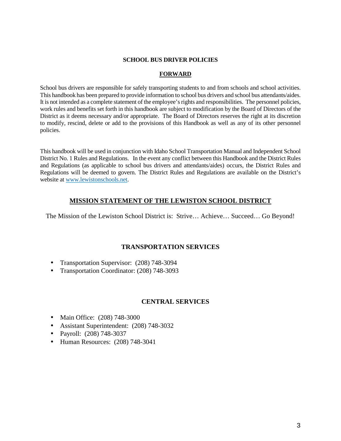## **SCHOOL BUS DRIVER POLICIES**

#### **FORWARD**

School bus drivers are responsible for safely transporting students to and from schools and school activities. This handbook has been prepared to provide information to school bus drivers and school bus attendants/aides. It is not intended as a complete statement of the employee's rights and responsibilities. The personnel policies, work rules and benefits set forth in this handbook are subject to modification by the Board of Directors of the District as it deems necessary and/or appropriate. The Board of Directors reserves the right at its discretion to modify, rescind, delete or add to the provisions of this Handbook as well as any of its other personnel policies.

This handbook will be used in conjunction with Idaho School Transportation Manual and Independent School District No. 1 Rules and Regulations. In the event any conflict between this Handbook and the District Rules and Regulations (as applicable to school bus drivers and attendants/aides) occurs, the District Rules and Regulations will be deemed to govern. The District Rules and Regulations are available on the District's website at www.lewistonschools.net.

# **MISSION STATEMENT OF THE LEWISTON SCHOOL DISTRICT**

The Mission of the Lewiston School District is: Strive… Achieve… Succeed… Go Beyond!

# **TRANSPORTATION SERVICES**

- Transportation Supervisor: (208) 748-3094
- Transportation Coordinator: (208) 748-3093

# **CENTRAL SERVICES**

- Main Office: (208) 748-3000
- Assistant Superintendent: (208) 748-3032
- Payroll: (208) 748-3037
- Human Resources: (208) 748-3041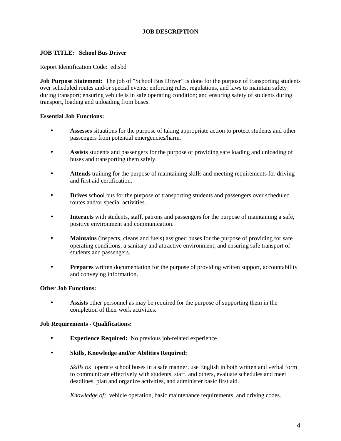# **JOB DESCRIPTION**

## **JOB TITLE: School Bus Driver**

#### Report Identification Code: edtsbd

**Job Purpose Statement:** The job of "School Bus Driver" is done for the purpose of transporting students over scheduled routes and/or special events; enforcing rules, regulations, and laws to maintain safety during transport; ensuring vehicle is in safe operating condition; and ensuring safety of students during transport, loading and unloading from buses.

#### **Essential Job Functions:**

- **Assesses** situations for the purpose of taking appropriate action to protect students and other passengers from potential emergencies/harm.
- **Assists** students and passengers for the purpose of providing safe loading and unloading of buses and transporting them safely.
- **Attends** training for the purpose of maintaining skills and meeting requirements for driving and first aid certification.
- **Drives** school bus for the purpose of transporting students and passengers over scheduled routes and/or special activities.
- **Interacts** with students, staff, patrons and passengers for the purpose of maintaining a safe, positive environment and communication.
- **Maintains** (inspects, cleans and fuels) assigned buses for the purpose of providing for safe operating conditions, a sanitary and attractive environment, and ensuring safe transport of students and passengers.
- **Prepares** written documentation for the purpose of providing written support, accountability and conveying information.

## **Other Job Functions:**

• **Assists** other personnel as may be required for the purpose of supporting them in the completion of their work activities.

#### **Job Requirements - Qualifications:**

- **Experience Required:** No previous job-related experience
- **Skills, Knowledge and/or Abilities Required:**

*Skills to:* operate school buses in a safe manner, use English in both written and verbal form to communicate effectively with students, staff, and others, evaluate schedules and meet deadlines, plan and organize activities, and administer basic first aid.

*Knowledge of:* vehicle operation, basic maintenance requirements, and driving codes.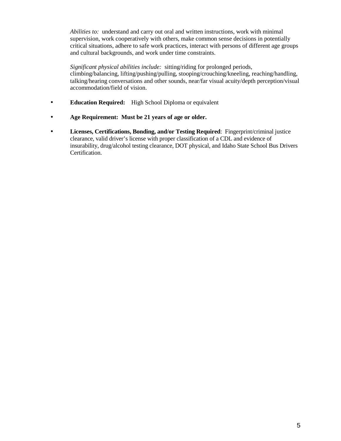*Abilities to:* understand and carry out oral and written instructions, work with minimal supervision, work cooperatively with others, make common sense decisions in potentially critical situations, adhere to safe work practices, interact with persons of different age groups and cultural backgrounds, and work under time constraints.

*Significant physical abilities include:* sitting/riding for prolonged periods, climbing/balancing, lifting/pushing/pulling, stooping/crouching/kneeling, reaching/handling, talking/hearing conversations and other sounds, near/far visual acuity/depth perception/visual accommodation/field of vision.

- **Education Required:** High School Diploma or equivalent
- **Age Requirement: Must be 21 years of age or older.**
- **Licenses, Certifications, Bonding, and/or Testing Required**: Fingerprint/criminal justice clearance, valid driver's license with proper classification of a CDL and evidence of insurability, drug/alcohol testing clearance, DOT physical, and Idaho State School Bus Drivers Certification.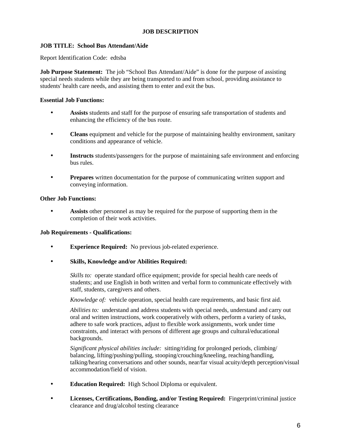## **JOB DESCRIPTION**

# **JOB TITLE: School Bus Attendant/Aide**

Report Identification Code: edtsba

**Job Purpose Statement:** The job "School Bus Attendant/Aide" is done for the purpose of assisting special needs students while they are being transported to and from school, providing assistance to students' health care needs, and assisting them to enter and exit the bus.

#### **Essential Job Functions:**

- **Assists** students and staff for the purpose of ensuring safe transportation of students and enhancing the efficiency of the bus route.
- **Cleans** equipment and vehicle for the purpose of maintaining healthy environment, sanitary conditions and appearance of vehicle.
- **Instructs** students/passengers for the purpose of maintaining safe environment and enforcing bus rules.
- **Prepares** written documentation for the purpose of communicating written support and conveying information.

#### **Other Job Functions:**

• **Assists** other personnel as may be required for the purpose of supporting them in the completion of their work activities.

#### **Job Requirements - Qualifications:**

- **Experience Required:** No previous job-related experience.
- **Skills, Knowledge and/or Abilities Required:**

*Skills to:* operate standard office equipment; provide for special health care needs of students; and use English in both written and verbal form to communicate effectively with staff, students, caregivers and others.

*Knowledge of:* vehicle operation, special health care requirements, and basic first aid.

*Abilities to:* understand and address students with special needs, understand and carry out oral and written instructions, work cooperatively with others, perform a variety of tasks, adhere to safe work practices, adjust to flexible work assignments, work under time constraints, and interact with persons of different age groups and cultural/educational backgrounds.

*Significant physical abilities include:* sitting/riding for prolonged periods, climbing/ balancing, lifting/pushing/pulling, stooping/crouching/kneeling, reaching/handling, talking/hearing conversations and other sounds, near/far visual acuity/depth perception/visual accommodation/field of vision.

- **Education Required:** High School Diploma or equivalent.
- **Licenses, Certifications, Bonding, and/or Testing Required:** Fingerprint/criminal justice clearance and drug/alcohol testing clearance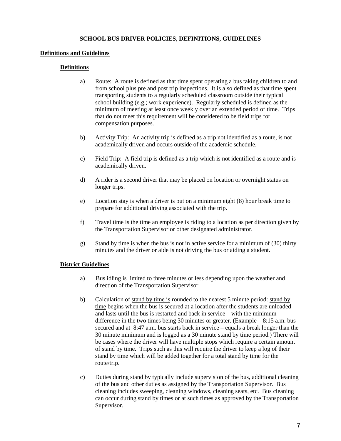## **SCHOOL BUS DRIVER POLICIES, DEFINITIONS, GUIDELINES**

## **Definitions and Guidelines**

# **Definitions**

- a) Route: A route is defined as that time spent operating a bus taking children to and from school plus pre and post trip inspections. It is also defined as that time spent transporting students to a regularly scheduled classroom outside their typical school building (e.g.; work experience). Regularly scheduled is defined as the minimum of meeting at least once weekly over an extended period of time. Trips that do not meet this requirement will be considered to be field trips for compensation purposes.
- b) Activity Trip: An activity trip is defined as a trip not identified as a route, is not academically driven and occurs outside of the academic schedule.
- c) Field Trip: A field trip is defined as a trip which is not identified as a route and is academically driven.
- d) A rider is a second driver that may be placed on location or overnight status on longer trips.
- e) Location stay is when a driver is put on a minimum eight (8) hour break time to prepare for additional driving associated with the trip.
- f) Travel time is the time an employee is riding to a location as per direction given by the Transportation Supervisor or other designated administrator.
- g) Stand by time is when the bus is not in active service for a minimum of (30) thirty minutes and the driver or aide is not driving the bus or aiding a student.

#### **District Guidelines**

- a) Bus idling is limited to three minutes or less depending upon the weather and direction of the Transportation Supervisor.
- b) Calculation of stand by time is rounded to the nearest 5 minute period: stand by time begins when the bus is secured at a location after the students are unloaded and lasts until the bus is restarted and back in service – with the minimum difference in the two times being 30 minutes or greater. (Example  $-8:15$  a.m. bus secured and at 8:47 a.m. bus starts back in service – equals a break longer than the 30 minute minimum and is logged as a 30 minute stand by time period.) There will be cases where the driver will have multiple stops which require a certain amount of stand by time. Trips such as this will require the driver to keep a log of their stand by time which will be added together for a total stand by time for the route/trip.
- c) Duties during stand by typically include supervision of the bus, additional cleaning of the bus and other duties as assigned by the Transportation Supervisor. Bus cleaning includes sweeping, cleaning windows, cleaning seats, etc. Bus cleaning can occur during stand by times or at such times as approved by the Transportation Supervisor.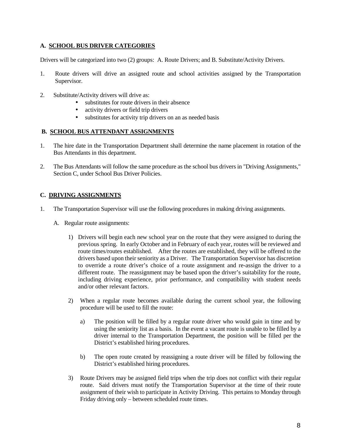# **A. SCHOOL BUS DRIVER CATEGORIES**

Drivers will be categorized into two (2) groups: A. Route Drivers; and B. Substitute/Activity Drivers.

- 1. Route drivers will drive an assigned route and school activities assigned by the Transportation Supervisor.
- 2. Substitute/Activity drivers will drive as:
	- substitutes for route drivers in their absence
	- activity drivers or field trip drivers
	- substitutes for activity trip drivers on an as needed basis

## **B. SCHOOL BUS ATTENDANT ASSIGNMENTS**

- 1. The hire date in the Transportation Department shall determine the name placement in rotation of the Bus Attendants in this department.
- 2. The Bus Attendants will follow the same procedure as the school bus drivers in "Driving Assignments," Section C, under School Bus Driver Policies.

# **C. DRIVING ASSIGNMENTS**

- 1. The Transportation Supervisor will use the following procedures in making driving assignments.
	- A. Regular route assignments:
		- 1) Drivers will begin each new school year on the route that they were assigned to during the previous spring. In early October and in February of each year, routes will be reviewed and route times/routes established. After the routes are established, they will be offered to the drivers based upon their seniority as a Driver. The Transportation Supervisor has discretion to override a route driver's choice of a route assignment and re-assign the driver to a different route. The reassignment may be based upon the driver's suitability for the route, including driving experience, prior performance, and compatibility with student needs and/or other relevant factors.
		- 2) When a regular route becomes available during the current school year, the following procedure will be used to fill the route:
			- a) The position will be filled by a regular route driver who would gain in time and by using the seniority list as a basis. In the event a vacant route is unable to be filled by a driver internal to the Transportation Department, the position will be filled per the District's established hiring procedures.
			- b) The open route created by reassigning a route driver will be filled by following the District's established hiring procedures.
		- 3) Route Drivers may be assigned field trips when the trip does not conflict with their regular route. Said drivers must notify the Transportation Supervisor at the time of their route assignment of their wish to participate in Activity Driving. This pertains to Monday through Friday driving only – between scheduled route times.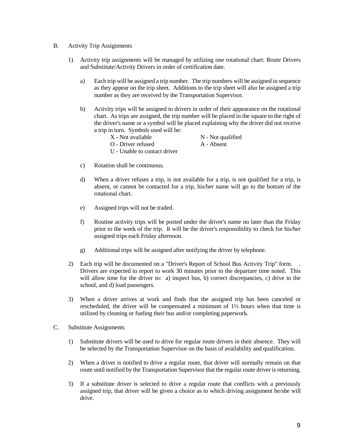- B. Activity Trip Assignments
	- 1) Activity trip assignments will be managed by utilizing one rotational chart: Route Drivers and Substitute/Activity Drivers in order of certification date.
		- a) Each trip will be assigned a trip number. The trip numbers will be assigned in sequence as they appear on the trip sheet. Additions to the trip sheet will also be assigned a trip number as they are received by the Transportation Supervisor.
		- b) Activity trips will be assigned to drivers in order of their appearance on the rotational chart. As trips are assigned, the trip number will be placed in the square to the right of the driver's name or a symbol will be placed explaining why the driver did not receive a trip in turn. Symbols used will be:
			- $X$  Not available  $N$  Not qualified
			- O Driver refused A Absent
			- U Unable to contact driver
- 
- c) Rotation shall be continuous.
- d) When a driver refuses a trip, is not available for a trip, is not qualified for a trip, is absent, or cannot be contacted for a trip, his/her name will go to the bottom of the rotational chart.
- e) Assigned trips will not be traded.
- f) Routine activity trips will be posted under the driver's name no later than the Friday prior to the week of the trip. It will be the driver's responsibility to check for his/her assigned trips each Friday afternoon.
- g) Additional trips will be assigned after notifying the driver by telephone.
- 2) Each trip will be documented on a "Driver's Report of School Bus Activity Trip" form. . Drivers are expected to report to work 30 minutes prior to the departure time noted. This will allow time for the driver to: a) inspect bus, b) correct discrepancies, c) drive to the school, and d) load passengers.
- 3) When a driver arrives at work and finds that the assigned trip has been canceled or rescheduled, the driver will be compensated a minimum of 1½ hours when that time is utilized by cleaning or fueling their bus and/or completing paperwork.
- C. Substitute Assignments
	- 1) Substitute drivers will be used to drive for regular route drivers in their absence. They will be selected by the Transportation Supervisor on the basis of availability and qualification.
	- 2) When a driver is notified to drive a regular route, that driver will normally remain on that route until notified by the Transportation Supervisor that the regular route driver is returning.
	- 3) If a substitute driver is selected to drive a regular route that conflicts with a previously assigned trip, that driver will be given a choice as to which driving assignment he/she will drive.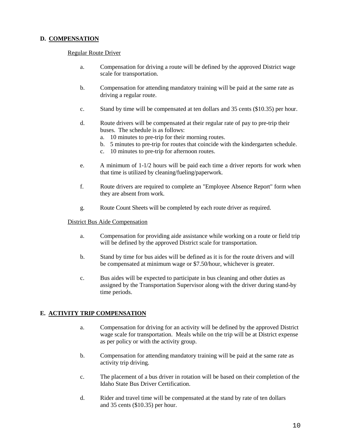# **D. COMPENSATION**

#### Regular Route Driver

- a. Compensation for driving a route will be defined by the approved District wage scale for transportation.
- b. Compensation for attending mandatory training will be paid at the same rate as driving a regular route.
- c. Stand by time will be compensated at ten dollars and 35 cents (\$10.35) per hour.
- d. Route drivers will be compensated at their regular rate of pay to pre-trip their buses. The schedule is as follows:
	- a. 10 minutes to pre-trip for their morning routes.
	- b. 5 minutes to pre-trip for routes that coincide with the kindergarten schedule.
	- c. 10 minutes to pre-trip for afternoon routes.
- e. A minimum of 1-1/2 hours will be paid each time a driver reports for work when that time is utilized by cleaning/fueling/paperwork.
- f. Route drivers are required to complete an "Employee Absence Report" form when they are absent from work.
- g. Route Count Sheets will be completed by each route driver as required.

#### District Bus Aide Compensation

- a. Compensation for providing aide assistance while working on a route or field trip will be defined by the approved District scale for transportation.
- b. Stand by time for bus aides will be defined as it is for the route drivers and will be compensated at minimum wage or \$7.50/hour, whichever is greater.
- c. Bus aides will be expected to participate in bus cleaning and other duties as assigned by the Transportation Supervisor along with the driver during stand-by time periods.

#### **E. ACTIVITY TRIP COMPENSATION**

- a. Compensation for driving for an activity will be defined by the approved District wage scale for transportation. Meals while on the trip will be at District expense as per policy or with the activity group.
- b. Compensation for attending mandatory training will be paid at the same rate as activity trip driving.
- c. The placement of a bus driver in rotation will be based on their completion of the Idaho State Bus Driver Certification.
- d. Rider and travel time will be compensated at the stand by rate of ten dollars and 35 cents (\$10.35) per hour.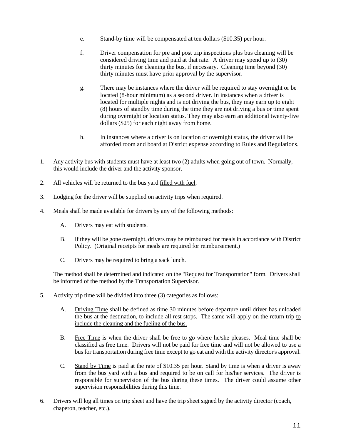- e. Stand-by time will be compensated at ten dollars (\$10.35) per hour.
- f. Driver compensation for pre and post trip inspections plus bus cleaning will be considered driving time and paid at that rate. A driver may spend up to (30) thirty minutes for cleaning the bus, if necessary. Cleaning time beyond (30) thirty minutes must have prior approval by the supervisor.
- g. There may be instances where the driver will be required to stay overnight or be located (8-hour minimum) as a second driver. In instances when a driver is located for multiple nights and is not driving the bus, they may earn up to eight (8) hours of standby time during the time they are not driving a bus or time spent during overnight or location status. They may also earn an additional twenty-five dollars (\$25) for each night away from home.
- h. In instances where a driver is on location or overnight status, the driver will be afforded room and board at District expense according to Rules and Regulations.
- 1. Any activity bus with students must have at least two (2) adults when going out of town. Normally, this would include the driver and the activity sponsor.
- 2. All vehicles will be returned to the bus yard filled with fuel.
- 3. Lodging for the driver will be supplied on activity trips when required.
- 4. Meals shall be made available for drivers by any of the following methods:
	- A. Drivers may eat with students.
	- B. If they will be gone overnight, drivers may be reimbursed for meals in accordance with District Policy. (Original receipts for meals are required for reimbursement.)
	- C. Drivers may be required to bring a sack lunch.

 The method shall be determined and indicated on the "Request for Transportation" form. Drivers shall be informed of the method by the Transportation Supervisor.

- 5. Activity trip time will be divided into three (3) categories as follows:
	- A. Driving Time shall be defined as time 30 minutes before departure until driver has unloaded the bus at the destination, to include all rest stops. The same will apply on the return trip to include the cleaning and the fueling of the bus.
	- B. Free Time is when the driver shall be free to go where he/she pleases. Meal time shall be classified as free time. Drivers will not be paid for free time and will not be allowed to use a bus for transportation during free time except to go eat and with the activity director's approval.
	- C. Stand by Time is paid at the rate of \$10.35 per hour. Stand by time is when a driver is away from the bus yard with a bus and required to be on call for his/her services. The driver is responsible for supervision of the bus during these times. The driver could assume other supervision responsibilities during this time.
- 6. Drivers will log all times on trip sheet and have the trip sheet signed by the activity director (coach, chaperon, teacher, etc.).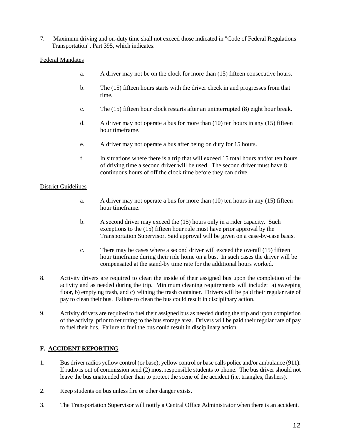7. Maximum driving and on-duty time shall not exceed those indicated in "Code of Federal Regulations Transportation", Part 395, which indicates:

# Federal Mandates

- a. A driver may not be on the clock for more than (15) fifteen consecutive hours.
- b. The (15) fifteen hours starts with the driver check in and progresses from that time.
- c. The (15) fifteen hour clock restarts after an uninterrupted (8) eight hour break.
- d. A driver may not operate a bus for more than (10) ten hours in any (15) fifteen hour timeframe.
- e. A driver may not operate a bus after being on duty for 15 hours.
- f. In situations where there is a trip that will exceed 15 total hours and/or ten hours of driving time a second driver will be used. The second driver must have 8 continuous hours of off the clock time before they can drive.

## District Guidelines

- a. A driver may not operate a bus for more than  $(10)$  ten hours in any  $(15)$  fifteen hour timeframe.
- b. A second driver may exceed the (15) hours only in a rider capacity. Such exceptions to the (15) fifteen hour rule must have prior approval by the Transportation Supervisor. Said approval will be given on a case-by-case basis.
- c. There may be cases where a second driver will exceed the overall (15) fifteen hour timeframe during their ride home on a bus. In such cases the driver will be compensated at the stand-by time rate for the additional hours worked.
- 8. Activity drivers are required to clean the inside of their assigned bus upon the completion of the activity and as needed during the trip. Minimum cleaning requirements will include: a) sweeping floor, b) emptying trash, and c) relining the trash container. Drivers will be paid their regular rate of pay to clean their bus. Failure to clean the bus could result in disciplinary action.
- 9. Activity drivers are required to fuel their assigned bus as needed during the trip and upon completion of the activity, prior to returning to the bus storage area. Drivers will be paid their regular rate of pay to fuel their bus. Failure to fuel the bus could result in disciplinary action.

# **F. ACCIDENT REPORTING**

- 1. Bus driver radios yellow control (or base); yellow control or base calls police and/or ambulance (911). If radio is out of commission send (2) most responsible students to phone. The bus driver should not leave the bus unattended other than to protect the scene of the accident (i.e. triangles, flashers).
- 2. Keep students on bus unless fire or other danger exists.
- 3. The Transportation Supervisor will notify a Central Office Administrator when there is an accident.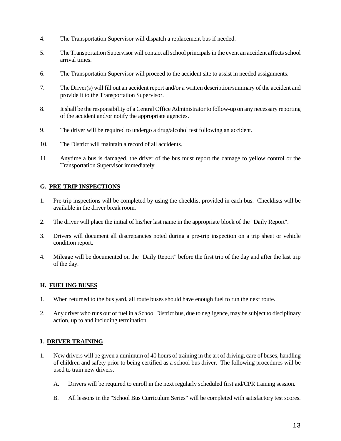- 4. The Transportation Supervisor will dispatch a replacement bus if needed.
- 5. The Transportation Supervisor will contact all school principals in the event an accident affects school arrival times.
- 6. The Transportation Supervisor will proceed to the accident site to assist in needed assignments.
- 7. The Driver(s) will fill out an accident report and/or a written description/summary of the accident and provide it to the Transportation Supervisor.
- 8. It shall be the responsibility of a Central Office Administrator to follow-up on any necessary reporting of the accident and/or notify the appropriate agencies.
- 9. The driver will be required to undergo a drug/alcohol test following an accident.
- 10. The District will maintain a record of all accidents.
- 11. Anytime a bus is damaged, the driver of the bus must report the damage to yellow control or the Transportation Supervisor immediately.

## **G. PRE-TRIP INSPECTIONS**

- 1. Pre-trip inspections will be completed by using the checklist provided in each bus. Checklists will be available in the driver break room.
- 2. The driver will place the initial of his/her last name in the appropriate block of the "Daily Report".
- 3. Drivers will document all discrepancies noted during a pre-trip inspection on a trip sheet or vehicle condition report.
- 4. Mileage will be documented on the "Daily Report" before the first trip of the day and after the last trip of the day.

#### **H. FUELING BUSES**

- 1. When returned to the bus yard, all route buses should have enough fuel to run the next route.
- 2. Any driver who runs out of fuel in a School District bus, due to negligence, may be subject to disciplinary action, up to and including termination.

# **I. DRIVER TRAINING**

- 1. New drivers will be given a minimum of 40 hours of training in the art of driving, care of buses, handling of children and safety prior to being certified as a school bus driver. The following procedures will be used to train new drivers.
	- A. Drivers will be required to enroll in the next regularly scheduled first aid/CPR training session.
	- B. All lessons in the "School Bus Curriculum Series" will be completed with satisfactory test scores.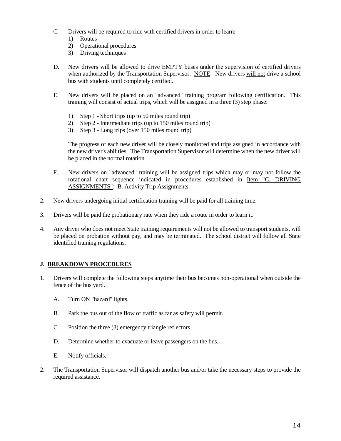- C. Drivers will be required to ride with certified drivers in order to learn:
	- 1) Routes
	- 2) Operational procedures
	- 3) Driving techniques
- D. New drivers will be allowed to drive EMPTY buses under the supervision of certified drivers when authorized by the Transportation Supervisor. NOTE: New drivers will not drive a school bus with students until completely certified.
- E. New drivers will be placed on an "advanced" training program following certification. This training will consist of actual trips, which will be assigned in a three (3) step phase:
	- 1) Step 1 Short trips (up to 50 miles round trip)
	- 2) Step 2 Intermediate trips (up to 150 miles round trip)
	- 3) Step 3 Long trips (over 150 miles round trip)

 The progress of each new driver will be closely monitored and trips assigned in accordance with the new driver's abilities. The Transportation Supervisor will determine when the new driver will be placed in the normal rotation.

- F. New drivers on "advanced" training will be assigned trips which may or may not follow the rotational chart sequence indicated in procedures established in Item "C. DRIVING ASSIGNMENTS": B. Activity Trip Assignments.
- 2. New drivers undergoing initial certification training will be paid for all training time.
- 3. Drivers will be paid the probationary rate when they ride a route in order to learn it.
- 4. Any driver who does not meet State training requirements will not be allowed to transport students, will be placed on probation without pay, and may be terminated. The school district will follow all State identified training regulations.

# **J. BREAKDOWN PROCEDURES**

- 1. Drivers will complete the following steps anytime their bus becomes non-operational when outside the fence of the bus yard.
	- A. Turn ON "hazard" lights.
	- B. Park the bus out of the flow of traffic as far as safety will permit.
	- C. Position the three (3) emergency triangle reflectors.
	- D. Determine whether to evacuate or leave passengers on the bus.
	- E. Notify officials.
- 2. The Transportation Supervisor will dispatch another bus and/or take the necessary steps to provide the required assistance.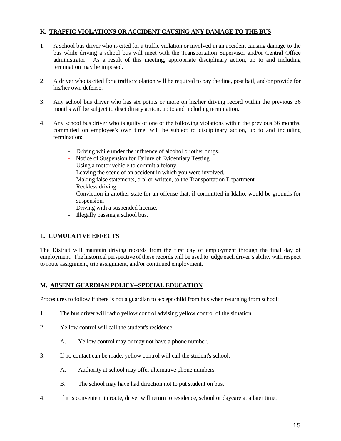# **K. TRAFFIC VIOLATIONS OR ACCIDENT CAUSING ANY DAMAGE TO THE BUS**

- 1. A school bus driver who is cited for a traffic violation or involved in an accident causing damage to the bus while driving a school bus will meet with the Transportation Supervisor and/or Central Office administrator. As a result of this meeting, appropriate disciplinary action, up to and including termination may be imposed.
- 2. A driver who is cited for a traffic violation will be required to pay the fine, post bail, and/or provide for his/her own defense.
- 3. Any school bus driver who has six points or more on his/her driving record within the previous 36 months will be subject to disciplinary action, up to and including termination.
- 4. Any school bus driver who is guilty of one of the following violations within the previous 36 months, committed on employee's own time, will be subject to disciplinary action, up to and including termination:
	- Driving while under the influence of alcohol or other drugs.
	- Notice of Suspension for Failure of Evidentiary Testing
	- Using a motor vehicle to commit a felony.
	- Leaving the scene of an accident in which you were involved.
	- Making false statements, oral or written, to the Transportation Department.
	- Reckless driving.
	- Conviction in another state for an offense that, if committed in Idaho, would be grounds for suspension.
	- Driving with a suspended license.
	- Illegally passing a school bus.

# **L. CUMULATIVE EFFECTS**

The District will maintain driving records from the first day of employment through the final day of employment. The historical perspective of these records will be used to judge each driver's ability with respect to route assignment, trip assignment, and/or continued employment.

# **M. ABSENT GUARDIAN POLICY--SPECIAL EDUCATION**

Procedures to follow if there is not a guardian to accept child from bus when returning from school:

- 1. The bus driver will radio yellow control advising yellow control of the situation.
- 2. Yellow control will call the student's residence.
	- A. Yellow control may or may not have a phone number.
- 3. If no contact can be made, yellow control will call the student's school.
	- A. Authority at school may offer alternative phone numbers.
	- B. The school may have had direction not to put student on bus.
- 4. If it is convenient in route, driver will return to residence, school or daycare at a later time.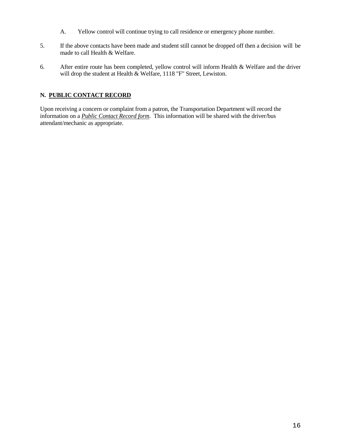- A. Yellow control will continue trying to call residence or emergency phone number.
- 5. If the above contacts have been made and student still cannot be dropped off then a decision will be made to call Health & Welfare.
- 6. After entire route has been completed, yellow control will inform Health & Welfare and the driver will drop the student at Health & Welfare, 1118 "F" Street, Lewiston.

# **N. PUBLIC CONTACT RECORD**

Upon receiving a concern or complaint from a patron, the Transportation Department will record the information on a *Public Contact Record form*. This information will be shared with the driver/bus attendant/mechanic as appropriate.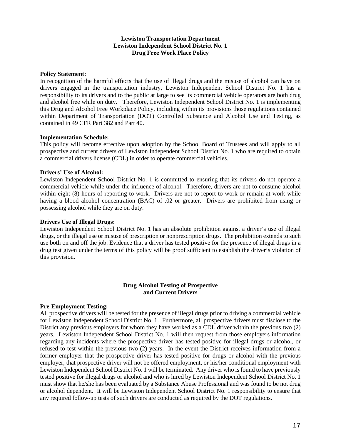#### **Lewiston Transportation Department Lewiston Independent School District No. 1 Drug Free Work Place Policy**

#### **Policy Statement:**

In recognition of the harmful effects that the use of illegal drugs and the misuse of alcohol can have on drivers engaged in the transportation industry, Lewiston Independent School District No. 1 has a responsibility to its drivers and to the public at large to see its commercial vehicle operators are both drug and alcohol free while on duty. Therefore, Lewiston Independent School District No. 1 is implementing this Drug and Alcohol Free Workplace Policy, including within its provisions those regulations contained within Department of Transportation (DOT) Controlled Substance and Alcohol Use and Testing, as contained in 49 CFR Part 382 and Part 40.

#### **Implementation Schedule:**

This policy will become effective upon adoption by the School Board of Trustees and will apply to all prospective and current drivers of Lewiston Independent School District No. 1 who are required to obtain a commercial drivers license (CDL) in order to operate commercial vehicles.

#### **Drivers' Use of Alcohol:**

Lewiston Independent School District No. 1 is committed to ensuring that its drivers do not operate a commercial vehicle while under the influence of alcohol. Therefore, drivers are not to consume alcohol within eight (8) hours of reporting to work. Drivers are not to report to work or remain at work while having a blood alcohol concentration (BAC) of .02 or greater. Drivers are prohibited from using or possessing alcohol while they are on duty.

#### **Drivers Use of Illegal Drugs:**

Lewiston Independent School District No. 1 has an absolute prohibition against a driver's use of illegal drugs, or the illegal use or misuse of prescription or nonprescription drugs. The prohibition extends to such use both on and off the job. Evidence that a driver has tested positive for the presence of illegal drugs in a drug test given under the terms of this policy will be proof sufficient to establish the driver's violation of this provision.

#### **Drug Alcohol Testing of Prospective and Current Drivers**

#### **Pre-Employment Testing:**

All prospective drivers will be tested for the presence of illegal drugs prior to driving a commercial vehicle for Lewiston Independent School District No. 1. Furthermore, all prospective drivers must disclose to the District any previous employers for whom they have worked as a CDL driver within the previous two (2) years. Lewiston Independent School District No. 1 will then request from those employers information regarding any incidents where the prospective driver has tested positive for illegal drugs or alcohol, or refused to test within the previous two (2) years. In the event the District receives information from a former employer that the prospective driver has tested positive for drugs or alcohol with the previous employer, that prospective driver will not be offered employment, or his/her conditional employment with Lewiston Independent School District No. 1 will be terminated. Any driver who is found to have previously tested positive for illegal drugs or alcohol and who is hired by Lewiston Independent School District No. 1 must show that he/she has been evaluated by a Substance Abuse Professional and was found to be not drug or alcohol dependent. It will be Lewiston Independent School District No. 1 responsibility to ensure that any required follow-up tests of such drivers are conducted as required by the DOT regulations.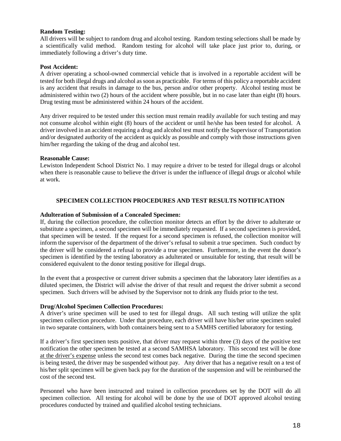## **Random Testing:**

All drivers will be subject to random drug and alcohol testing. Random testing selections shall be made by a scientifically valid method. Random testing for alcohol will take place just prior to, during, or immediately following a driver's duty time.

#### **Post Accident:**

A driver operating a school-owned commercial vehicle that is involved in a reportable accident will be tested for both illegal drugs and alcohol as soon as practicable. For terms of this policy a reportable accident is any accident that results in damage to the bus, person and/or other property. Alcohol testing must be administered within two (2) hours of the accident where possible, but in no case later than eight (8) hours. Drug testing must be administered within 24 hours of the accident.

Any driver required to be tested under this section must remain readily available for such testing and may not consume alcohol within eight (8) hours of the accident or until he/she has been tested for alcohol. A driver involved in an accident requiring a drug and alcohol test must notify the Supervisor of Transportation and/or designated authority of the accident as quickly as possible and comply with those instructions given him/her regarding the taking of the drug and alcohol test.

#### **Reasonable Cause:**

Lewiston Independent School District No. 1 may require a driver to be tested for illegal drugs or alcohol when there is reasonable cause to believe the driver is under the influence of illegal drugs or alcohol while at work.

## **SPECIMEN COLLECTION PROCEDURES AND TEST RESULTS NOTIFICATION**

#### **Adulteration of Submission of a Concealed Specimen:**

If, during the collection procedure, the collection monitor detects an effort by the driver to adulterate or substitute a specimen, a second specimen will be immediately requested. If a second specimen is provided, that specimen will be tested. If the request for a second specimen is refused, the collection monitor will inform the supervisor of the department of the driver's refusal to submit a true specimen. Such conduct by the driver will be considered a refusal to provide a true specimen. Furthermore, in the event the donor's specimen is identified by the testing laboratory as adulterated or unsuitable for testing, that result will be considered equivalent to the donor testing positive for illegal drugs.

In the event that a prospective or current driver submits a specimen that the laboratory later identifies as a diluted specimen, the District will advise the driver of that result and request the driver submit a second specimen. Such drivers will be advised by the Supervisor not to drink any fluids prior to the test.

#### **Drug/Alcohol Specimen Collection Procedures:**

A driver's urine specimen will be used to test for illegal drugs. All such testing will utilize the split specimen collection procedure. Under that procedure, each driver will have his/her urine specimen sealed in two separate containers, with both containers being sent to a SAMHS certified laboratory for testing.

If a driver's first specimen tests positive, that driver may request within three (3) days of the positive test notification the other specimen be tested at a second SAMHSA laboratory. This second test will be done at the driver's expense unless the second test comes back negative. During the time the second specimen is being tested, the driver may be suspended without pay. Any driver that has a negative result on a test of his/her split specimen will be given back pay for the duration of the suspension and will be reimbursed the cost of the second test.

Personnel who have been instructed and trained in collection procedures set by the DOT will do all specimen collection. All testing for alcohol will be done by the use of DOT approved alcohol testing procedures conducted by trained and qualified alcohol testing technicians.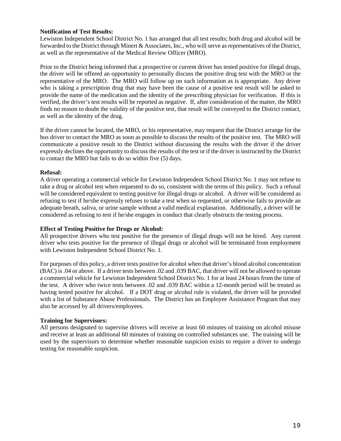## **Notification of Test Results:**

Lewiston Independent School District No. 1 has arranged that all test results; both drug and alcohol will be forwarded to the District through Minert & Associates, Inc., who will serve as representatives of the District, as well as the representative of the Medical Review Officer (MRO).

Prior to the District being informed that a prospective or current driver has tested positive for illegal drugs, the driver will be offered an opportunity to personally discuss the positive drug test with the MRO or the representative of the MRO. The MRO will follow up on such information as is appropriate. Any driver who is taking a prescription drug that may have been the cause of a positive test result will be asked to provide the name of the medication and the identity of the prescribing physician for verification. If this is verified, the driver's test results will be reported as negative. If, after consideration of the matter, the MRO finds no reason to doubt the validity of the positive test, that result will be conveyed to the District contact, as well as the identity of the drug.

If the driver cannot be located, the MRO, or his representative, may request that the District arrange for the bus driver to contact the MRO as soon as possible to discuss the results of the positive test. The MRO will communicate a positive result to the District without discussing the results with the driver if the driver expressly declines the opportunity to discuss the results of the test or if the driver is instructed by the District to contact the MRO but fails to do so within five (5) days.

#### **Refusal:**

A driver operating a commercial vehicle for Lewiston Independent School District No. 1 may not refuse to take a drug or alcohol test when requested to do so, consistent with the terms of this policy. Such a refusal will be considered equivalent to testing positive for illegal drugs or alcohol. A driver will be considered as refusing to test if he/she expressly refuses to take a test when so requested, or otherwise fails to provide an adequate breath, saliva, or urine sample without a valid medical explanation. Additionally, a driver will be considered as refusing to test if he/she engages in conduct that clearly obstructs the testing process.

#### **Effect of Testing Positive for Drugs or Alcohol:**

All prospective drivers who test positive for the presence of illegal drugs will not be hired. Any current driver who tests positive for the presence of illegal drugs or alcohol will be terminated from employment with Lewiston Independent School District No. 1.

For purposes of this policy, a driver tests positive for alcohol when that driver's blood alcohol concentration (BAC) is .04 or above. If a driver tests between .02 and .039 BAC, that driver will not be allowed to operate a commercial vehicle for Lewiston Independent School District No. 1 for at least 24 hours from the time of the test. A driver who twice tests between .02 and .039 BAC within a 12-month period will be treated as having tested positive for alcohol. If a DOT drug or alcohol rule is violated, the driver will be provided with a list of Substance Abuse Professionals. The District has an Employee Assistance Program that may also be accessed by all drivers/employees.

# **Training for Supervisors:**

All persons designated to supervise drivers will receive at least 60 minutes of training on alcohol misuse and receive at least an additional 60 minutes of training on controlled substances use. The training will be used by the supervisors to determine whether reasonable suspicion exists to require a driver to undergo testing for reasonable suspicion.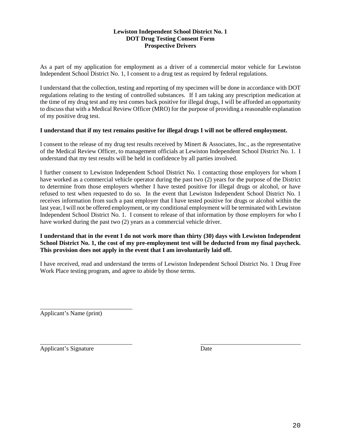# **Lewiston Independent School District No. 1 DOT Drug Testing Consent Form Prospective Drivers**

As a part of my application for employment as a driver of a commercial motor vehicle for Lewiston Independent School District No. 1, I consent to a drug test as required by federal regulations.

I understand that the collection, testing and reporting of my specimen will be done in accordance with DOT regulations relating to the testing of controlled substances. If I am taking any prescription medication at the time of my drug test and my test comes back positive for illegal drugs, I will be afforded an opportunity to discuss that with a Medical Review Officer (MRO) for the purpose of providing a reasonable explanation of my positive drug test.

## **I understand that if my test remains positive for illegal drugs I will not be offered employment.**

I consent to the release of my drug test results received by Minert & Associates, Inc., as the representative of the Medical Review Officer, to management officials at Lewiston Independent School District No. 1. I understand that my test results will be held in confidence by all parties involved.

I further consent to Lewiston Independent School District No. 1 contacting those employers for whom I have worked as a commercial vehicle operator during the past two (2) years for the purpose of the District to determine from those employers whether I have tested positive for illegal drugs or alcohol, or have refused to test when requested to do so. In the event that Lewiston Independent School District No. 1 receives information from such a past employer that I have tested positive for drugs or alcohol within the last year, I will not be offered employment, or my conditional employment will be terminated with Lewiston Independent School District No. 1. I consent to release of that information by those employers for who I have worked during the past two (2) years as a commercial vehicle driver.

## **I understand that in the event I do not work more than thirty (30) days with Lewiston Independent School District No. 1, the cost of my pre-employment test will be deducted from my final paycheck. This provision does not apply in the event that I am involuntarily laid off.**

I have received, read and understand the terms of Lewiston Independent School District No. 1 Drug Free Work Place testing program, and agree to abide by those terms.

Applicant's Name (print)

 $\overline{a}$ Applicant's Signature Date